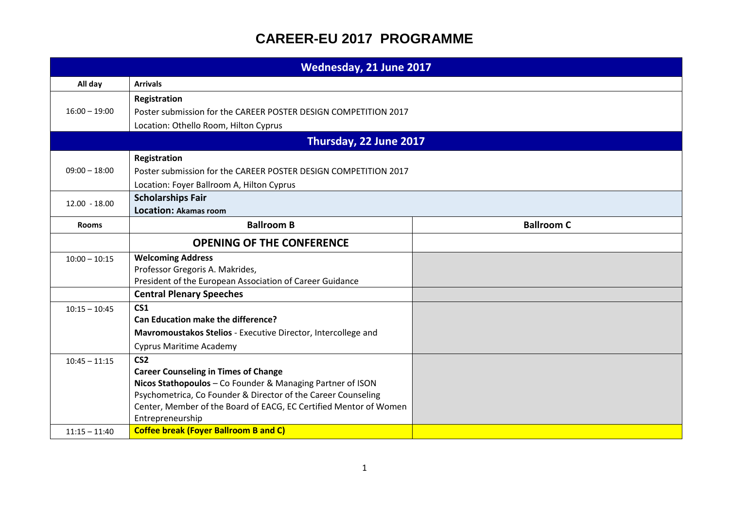| Wednesday, 21 June 2017            |                                                                                                                                                                                                                                                                                                                                        |                   |
|------------------------------------|----------------------------------------------------------------------------------------------------------------------------------------------------------------------------------------------------------------------------------------------------------------------------------------------------------------------------------------|-------------------|
| All day                            | <b>Arrivals</b>                                                                                                                                                                                                                                                                                                                        |                   |
| $16:00 - 19:00$                    | Registration<br>Poster submission for the CAREER POSTER DESIGN COMPETITION 2017<br>Location: Othello Room, Hilton Cyprus                                                                                                                                                                                                               |                   |
| Thursday, 22 June 2017             |                                                                                                                                                                                                                                                                                                                                        |                   |
| $09:00 - 18:00$                    | Registration<br>Poster submission for the CAREER POSTER DESIGN COMPETITION 2017<br>Location: Foyer Ballroom A, Hilton Cyprus                                                                                                                                                                                                           |                   |
| $12.00 - 18.00$                    | <b>Scholarships Fair</b><br><b>Location: Akamas room</b>                                                                                                                                                                                                                                                                               |                   |
| <b>Rooms</b>                       | <b>Ballroom B</b>                                                                                                                                                                                                                                                                                                                      | <b>Ballroom C</b> |
|                                    | <b>OPENING OF THE CONFERENCE</b>                                                                                                                                                                                                                                                                                                       |                   |
| $10:00 - 10:15$                    | <b>Welcoming Address</b><br>Professor Gregoris A. Makrides,<br>President of the European Association of Career Guidance                                                                                                                                                                                                                |                   |
|                                    | <b>Central Plenary Speeches</b>                                                                                                                                                                                                                                                                                                        |                   |
| $10:15 - 10:45$                    | CS <sub>1</sub><br><b>Can Education make the difference?</b><br>Mavromoustakos Stelios - Executive Director, Intercollege and<br><b>Cyprus Maritime Academy</b>                                                                                                                                                                        |                   |
| $10:45 - 11:15$<br>$11:15 - 11:40$ | CS <sub>2</sub><br><b>Career Counseling in Times of Change</b><br>Nicos Stathopoulos - Co Founder & Managing Partner of ISON<br>Psychometrica, Co Founder & Director of the Career Counseling<br>Center, Member of the Board of EACG, EC Certified Mentor of Women<br>Entrepreneurship<br><b>Coffee break (Foyer Ballroom B and C)</b> |                   |
|                                    |                                                                                                                                                                                                                                                                                                                                        |                   |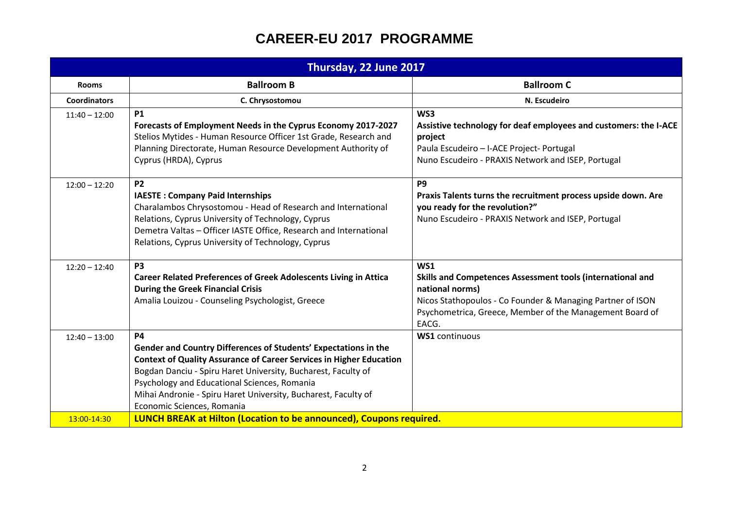| Thursday, 22 June 2017 |                                                                                                                                                                                                                                                                                                                                                                             |                                                                                                                                                                                                                         |
|------------------------|-----------------------------------------------------------------------------------------------------------------------------------------------------------------------------------------------------------------------------------------------------------------------------------------------------------------------------------------------------------------------------|-------------------------------------------------------------------------------------------------------------------------------------------------------------------------------------------------------------------------|
| <b>Rooms</b>           | <b>Ballroom B</b>                                                                                                                                                                                                                                                                                                                                                           | <b>Ballroom C</b>                                                                                                                                                                                                       |
| <b>Coordinators</b>    | C. Chrysostomou                                                                                                                                                                                                                                                                                                                                                             | N. Escudeiro                                                                                                                                                                                                            |
| $11:40 - 12:00$        | <b>P1</b><br>Forecasts of Employment Needs in the Cyprus Economy 2017-2027<br>Stelios Mytides - Human Resource Officer 1st Grade, Research and<br>Planning Directorate, Human Resource Development Authority of<br>Cyprus (HRDA), Cyprus                                                                                                                                    | WS3<br>Assistive technology for deaf employees and customers: the I-ACE<br>project<br>Paula Escudeiro - I-ACE Project- Portugal<br>Nuno Escudeiro - PRAXIS Network and ISEP, Portugal                                   |
| $12:00 - 12:20$        | <b>P2</b><br><b>IAESTE: Company Paid Internships</b><br>Charalambos Chrysostomou - Head of Research and International<br>Relations, Cyprus University of Technology, Cyprus<br>Demetra Valtas - Officer IASTE Office, Research and International<br>Relations, Cyprus University of Technology, Cyprus                                                                      | P <sub>9</sub><br>Praxis Talents turns the recruitment process upside down. Are<br>you ready for the revolution?"<br>Nuno Escudeiro - PRAXIS Network and ISEP, Portugal                                                 |
| $12:20 - 12:40$        | P <sub>3</sub><br><b>Career Related Preferences of Greek Adolescents Living in Attica</b><br><b>During the Greek Financial Crisis</b><br>Amalia Louizou - Counseling Psychologist, Greece                                                                                                                                                                                   | WS1<br>Skills and Competences Assessment tools (international and<br>national norms)<br>Nicos Stathopoulos - Co Founder & Managing Partner of ISON<br>Psychometrica, Greece, Member of the Management Board of<br>EACG. |
| $12:40 - 13:00$        | <b>P4</b><br>Gender and Country Differences of Students' Expectations in the<br><b>Context of Quality Assurance of Career Services in Higher Education</b><br>Bogdan Danciu - Spiru Haret University, Bucharest, Faculty of<br>Psychology and Educational Sciences, Romania<br>Mihai Andronie - Spiru Haret University, Bucharest, Faculty of<br>Economic Sciences, Romania | <b>WS1</b> continuous                                                                                                                                                                                                   |
| 13:00-14:30            | LUNCH BREAK at Hilton (Location to be announced), Coupons required.                                                                                                                                                                                                                                                                                                         |                                                                                                                                                                                                                         |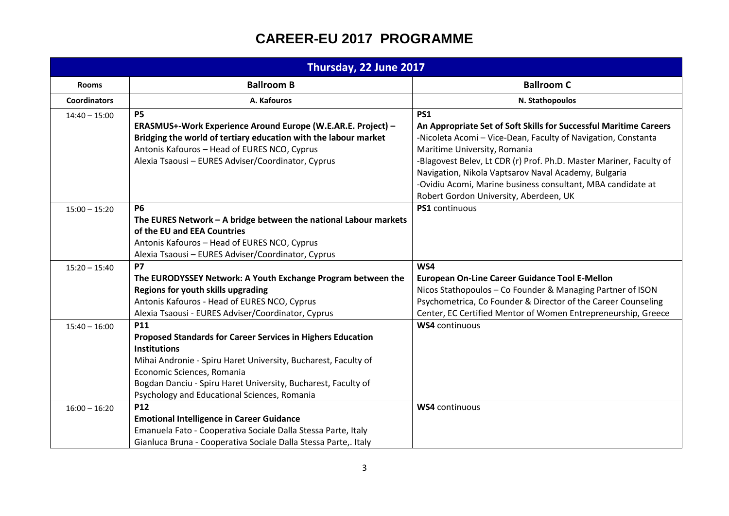| Thursday, 22 June 2017 |                                                                                                                                                                                                                                                                                                                          |                                                                                                                                                                                                                                                                                                                                                                                                                          |
|------------------------|--------------------------------------------------------------------------------------------------------------------------------------------------------------------------------------------------------------------------------------------------------------------------------------------------------------------------|--------------------------------------------------------------------------------------------------------------------------------------------------------------------------------------------------------------------------------------------------------------------------------------------------------------------------------------------------------------------------------------------------------------------------|
| <b>Rooms</b>           | <b>Ballroom B</b>                                                                                                                                                                                                                                                                                                        | <b>Ballroom C</b>                                                                                                                                                                                                                                                                                                                                                                                                        |
| <b>Coordinators</b>    | A. Kafouros                                                                                                                                                                                                                                                                                                              | N. Stathopoulos                                                                                                                                                                                                                                                                                                                                                                                                          |
| $14:40 - 15:00$        | <b>P5</b><br>ERASMUS+-Work Experience Around Europe (W.E.AR.E. Project) -<br>Bridging the world of tertiary education with the labour market<br>Antonis Kafouros - Head of EURES NCO, Cyprus<br>Alexia Tsaousi - EURES Adviser/Coordinator, Cyprus                                                                       | <b>PS1</b><br>An Appropriate Set of Soft Skills for Successful Maritime Careers<br>-Nicoleta Acomi - Vice-Dean, Faculty of Navigation, Constanta<br>Maritime University, Romania<br>-Blagovest Belev, Lt CDR (r) Prof. Ph.D. Master Mariner, Faculty of<br>Navigation, Nikola Vaptsarov Naval Academy, Bulgaria<br>-Ovidiu Acomi, Marine business consultant, MBA candidate at<br>Robert Gordon University, Aberdeen, UK |
| $15:00 - 15:20$        | <b>P6</b><br>The EURES Network - A bridge between the national Labour markets<br>of the EU and EEA Countries<br>Antonis Kafouros - Head of EURES NCO, Cyprus<br>Alexia Tsaousi - EURES Adviser/Coordinator, Cyprus                                                                                                       | PS1 continuous                                                                                                                                                                                                                                                                                                                                                                                                           |
| $15:20 - 15:40$        | <b>P7</b><br>The EURODYSSEY Network: A Youth Exchange Program between the<br>Regions for youth skills upgrading<br>Antonis Kafouros - Head of EURES NCO, Cyprus<br>Alexia Tsaousi - EURES Adviser/Coordinator, Cyprus                                                                                                    | WS4<br><b>European On-Line Career Guidance Tool E-Mellon</b><br>Nicos Stathopoulos - Co Founder & Managing Partner of ISON<br>Psychometrica, Co Founder & Director of the Career Counseling<br>Center, EC Certified Mentor of Women Entrepreneurship, Greece                                                                                                                                                             |
| $15:40 - 16:00$        | <b>P11</b><br><b>Proposed Standards for Career Services in Highers Education</b><br><b>Institutions</b><br>Mihai Andronie - Spiru Haret University, Bucharest, Faculty of<br>Economic Sciences, Romania<br>Bogdan Danciu - Spiru Haret University, Bucharest, Faculty of<br>Psychology and Educational Sciences, Romania | <b>WS4</b> continuous                                                                                                                                                                                                                                                                                                                                                                                                    |
| $16:00 - 16:20$        | P12<br><b>Emotional Intelligence in Career Guidance</b><br>Emanuela Fato - Cooperativa Sociale Dalla Stessa Parte, Italy<br>Gianluca Bruna - Cooperativa Sociale Dalla Stessa Parte,. Italy                                                                                                                              | <b>WS4</b> continuous                                                                                                                                                                                                                                                                                                                                                                                                    |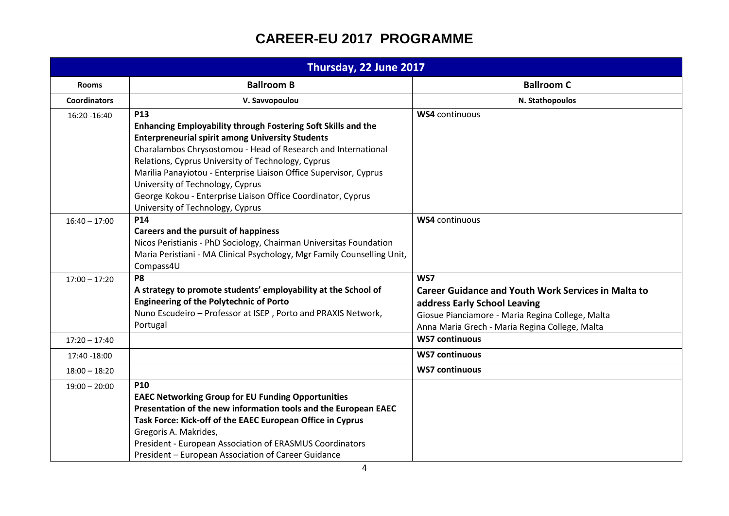| Thursday, 22 June 2017 |                                                                                                                                                                                                                                                                                                                                                                                                                                                                            |                                                                                                                                                                                                         |  |
|------------------------|----------------------------------------------------------------------------------------------------------------------------------------------------------------------------------------------------------------------------------------------------------------------------------------------------------------------------------------------------------------------------------------------------------------------------------------------------------------------------|---------------------------------------------------------------------------------------------------------------------------------------------------------------------------------------------------------|--|
| <b>Rooms</b>           | <b>Ballroom B</b>                                                                                                                                                                                                                                                                                                                                                                                                                                                          | <b>Ballroom C</b>                                                                                                                                                                                       |  |
| <b>Coordinators</b>    | V. Savvopoulou                                                                                                                                                                                                                                                                                                                                                                                                                                                             | N. Stathopoulos                                                                                                                                                                                         |  |
| 16:20 - 16:40          | <b>P13</b><br>Enhancing Employability through Fostering Soft Skills and the<br><b>Enterpreneurial spirit among University Students</b><br>Charalambos Chrysostomou - Head of Research and International<br>Relations, Cyprus University of Technology, Cyprus<br>Marilia Panayiotou - Enterprise Liaison Office Supervisor, Cyprus<br>University of Technology, Cyprus<br>George Kokou - Enterprise Liaison Office Coordinator, Cyprus<br>University of Technology, Cyprus | <b>WS4</b> continuous                                                                                                                                                                                   |  |
| $16:40 - 17:00$        | P14<br><b>Careers and the pursuit of happiness</b><br>Nicos Peristianis - PhD Sociology, Chairman Universitas Foundation<br>Maria Peristiani - MA Clinical Psychology, Mgr Family Counselling Unit,<br>Compass4U                                                                                                                                                                                                                                                           | <b>WS4</b> continuous                                                                                                                                                                                   |  |
| $17:00 - 17:20$        | P <sub>8</sub><br>A strategy to promote students' employability at the School of<br><b>Engineering of the Polytechnic of Porto</b><br>Nuno Escudeiro - Professor at ISEP, Porto and PRAXIS Network,<br>Portugal                                                                                                                                                                                                                                                            | WS7<br><b>Career Guidance and Youth Work Services in Malta to</b><br>address Early School Leaving<br>Giosue Pianciamore - Maria Regina College, Malta<br>Anna Maria Grech - Maria Regina College, Malta |  |
| $17:20 - 17:40$        |                                                                                                                                                                                                                                                                                                                                                                                                                                                                            | <b>WS7 continuous</b>                                                                                                                                                                                   |  |
| 17:40 -18:00           |                                                                                                                                                                                                                                                                                                                                                                                                                                                                            | <b>WS7 continuous</b>                                                                                                                                                                                   |  |
| $18:00 - 18:20$        |                                                                                                                                                                                                                                                                                                                                                                                                                                                                            | <b>WS7 continuous</b>                                                                                                                                                                                   |  |
| $19:00 - 20:00$        | <b>P10</b><br><b>EAEC Networking Group for EU Funding Opportunities</b><br>Presentation of the new information tools and the European EAEC<br>Task Force: Kick-off of the EAEC European Office in Cyprus<br>Gregoris A. Makrides,<br>President - European Association of ERASMUS Coordinators<br>President - European Association of Career Guidance                                                                                                                       |                                                                                                                                                                                                         |  |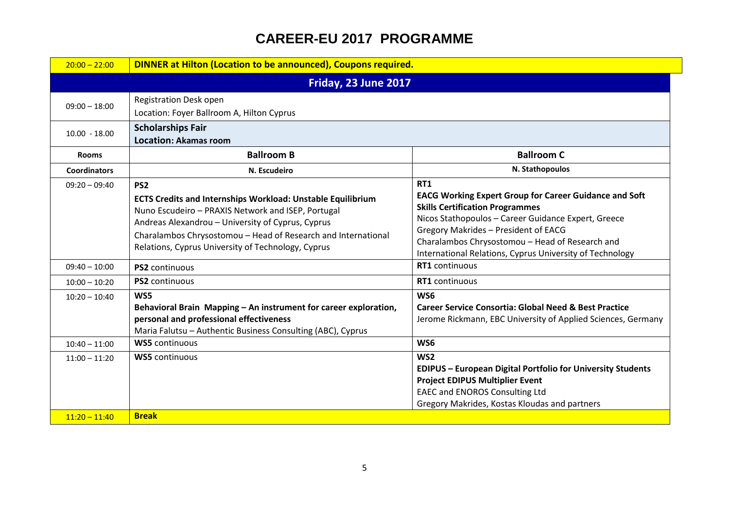| $20:00 - 22:00$      | <b>DINNER at Hilton (Location to be announced), Coupons required.</b>                                                                                                                                                                                                                                                   |                                                                                                                                                                                                                                                                                                                                     |
|----------------------|-------------------------------------------------------------------------------------------------------------------------------------------------------------------------------------------------------------------------------------------------------------------------------------------------------------------------|-------------------------------------------------------------------------------------------------------------------------------------------------------------------------------------------------------------------------------------------------------------------------------------------------------------------------------------|
| Friday, 23 June 2017 |                                                                                                                                                                                                                                                                                                                         |                                                                                                                                                                                                                                                                                                                                     |
| $09:00 - 18:00$      | <b>Registration Desk open</b><br>Location: Foyer Ballroom A, Hilton Cyprus                                                                                                                                                                                                                                              |                                                                                                                                                                                                                                                                                                                                     |
| $10.00 - 18.00$      | <b>Scholarships Fair</b><br><b>Location: Akamas room</b>                                                                                                                                                                                                                                                                |                                                                                                                                                                                                                                                                                                                                     |
| <b>Rooms</b>         | <b>Ballroom B</b>                                                                                                                                                                                                                                                                                                       | <b>Ballroom C</b>                                                                                                                                                                                                                                                                                                                   |
| <b>Coordinators</b>  | N. Escudeiro                                                                                                                                                                                                                                                                                                            | N. Stathopoulos                                                                                                                                                                                                                                                                                                                     |
| $09:20 - 09:40$      | PS <sub>2</sub><br><b>ECTS Credits and Internships Workload: Unstable Equilibrium</b><br>Nuno Escudeiro - PRAXIS Network and ISEP, Portugal<br>Andreas Alexandrou - University of Cyprus, Cyprus<br>Charalambos Chrysostomou - Head of Research and International<br>Relations, Cyprus University of Technology, Cyprus | <b>RT1</b><br><b>EACG Working Expert Group for Career Guidance and Soft</b><br><b>Skills Certification Programmes</b><br>Nicos Stathopoulos - Career Guidance Expert, Greece<br>Gregory Makrides - President of EACG<br>Charalambos Chrysostomou - Head of Research and<br>International Relations, Cyprus University of Technology |
| $09:40 - 10:00$      | PS2 continuous                                                                                                                                                                                                                                                                                                          | RT1 continuous                                                                                                                                                                                                                                                                                                                      |
| $10:00 - 10:20$      | <b>PS2</b> continuous                                                                                                                                                                                                                                                                                                   | <b>RT1</b> continuous                                                                                                                                                                                                                                                                                                               |
| $10:20 - 10:40$      | WS5<br>Behavioral Brain Mapping - An instrument for career exploration,<br>personal and professional effectiveness<br>Maria Falutsu - Authentic Business Consulting (ABC), Cyprus                                                                                                                                       | WS <sub>6</sub><br><b>Career Service Consortia: Global Need &amp; Best Practice</b><br>Jerome Rickmann, EBC University of Applied Sciences, Germany                                                                                                                                                                                 |
| $10:40 - 11:00$      | <b>WS5</b> continuous                                                                                                                                                                                                                                                                                                   | WS6                                                                                                                                                                                                                                                                                                                                 |
| $11:00 - 11:20$      | <b>WS5</b> continuous                                                                                                                                                                                                                                                                                                   | WS <sub>2</sub><br><b>EDIPUS - European Digital Portfolio for University Students</b><br><b>Project EDIPUS Multiplier Event</b><br><b>EAEC and ENOROS Consulting Ltd</b><br>Gregory Makrides, Kostas Kloudas and partners                                                                                                           |
| $11:20 - 11:40$      | <b>Break</b>                                                                                                                                                                                                                                                                                                            |                                                                                                                                                                                                                                                                                                                                     |